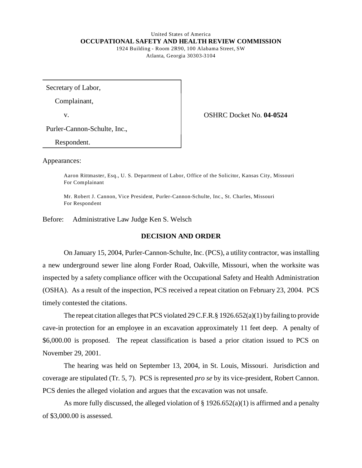## United States of America **OCCUPATIONAL SAFETY AND HEALTH REVIEW COMMISSION**  1924 Building - Room 2R90, 100 Alabama Street, SW

Atlanta, Georgia 30303-3104

Secretary of Labor,

Complainant,

v. OSHRC Docket No. **04-0524** 

Purler-Cannon-Schulte, Inc.,

Respondent.

Appearances:

Aaron Rittmaster, Esq., U. S. Department of Labor, O ffice of the Solicitor, Kansas City, Missouri For Complainant

Mr. Robert J. Cannon, Vice President, Purler-Cannon-Schulte, Inc., St. Charles, Missouri For Respondent

Before: Administrative Law Judge Ken S. Welsch

## **DECISION AND ORDER**

On January 15, 2004, Purler-Cannon-Schulte, Inc. (PCS), a utility contractor, was installing a new underground sewer line along Forder Road, Oakville, Missouri, when the worksite was inspected by a safety compliance officer with the Occupational Safety and Health Administration (OSHA). As a result of the inspection, PCS received a repeat citation on February 23, 2004. PCS timely contested the citations.

The repeat citation alleges that PCS violated 29 C.F.R. § 1926.652(a)(1) by failing to provide cave-in protection for an employee in an excavation approximately 11 feet deep. A penalty of \$6,000.00 is proposed. The repeat classification is based a prior citation issued to PCS on November 29, 2001.

The hearing was held on September 13, 2004, in St. Louis, Missouri. Jurisdiction and coverage are stipulated (Tr. 5, 7). PCS is represented *pro se* by its vice-president, Robert Cannon. PCS denies the alleged violation and argues that the excavation was not unsafe.

As more fully discussed, the alleged violation of  $\S 1926.652(a)(1)$  is affirmed and a penalty of \$3,000.00 is assessed.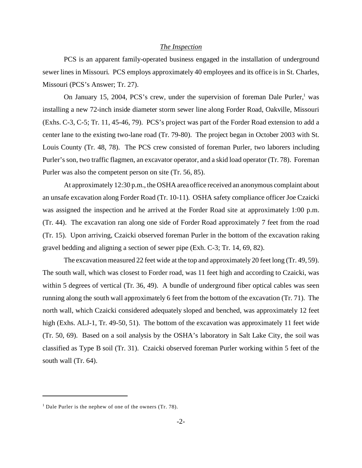#### *The Inspection*

PCS is an apparent family-operated business engaged in the installation of underground sewer lines in Missouri. PCS employs approximately 40 employees and its office is in St. Charles, Missouri (PCS's Answer; Tr. 27).

On January 15, 2004, PCS's crew, under the supervision of foreman Dale Purler,<sup>1</sup> was installing a new 72-inch inside diameter storm sewer line along Forder Road, Oakville, Missouri (Exhs. C-3, C-5; Tr. 11, 45-46, 79). PCS's project was part of the Forder Road extension to add a center lane to the existing two-lane road (Tr. 79-80). The project began in October 2003 with St. Louis County (Tr. 48, 78). The PCS crew consisted of foreman Purler, two laborers including Purler's son, two traffic flagmen, an excavator operator, and a skid load operator (Tr. 78). Foreman Purler was also the competent person on site (Tr. 56, 85).

At approximately 12:30 p.m., the OSHA area office received an anonymous complaint about an unsafe excavation along Forder Road (Tr. 10-11). OSHA safety compliance officer Joe Czaicki was assigned the inspection and he arrived at the Forder Road site at approximately 1:00 p.m. (Tr. 44). The excavation ran along one side of Forder Road approximately 7 feet from the road (Tr. 15). Upon arriving, Czaicki observed foreman Purler in the bottom of the excavation raking gravel bedding and aligning a section of sewer pipe (Exh. C-3; Tr. 14, 69, 82).

The excavation measured 22 feet wide at the top and approximately 20 feet long (Tr. 49, 59). The south wall, which was closest to Forder road, was 11 feet high and according to Czaicki, was within 5 degrees of vertical (Tr. 36, 49). A bundle of underground fiber optical cables was seen running along the south wall approximately 6 feet from the bottom of the excavation (Tr. 71). The north wall, which Czaicki considered adequately sloped and benched, was approximately 12 feet high (Exhs. ALJ-1, Tr. 49-50, 51). The bottom of the excavation was approximately 11 feet wide (Tr. 50, 69). Based on a soil analysis by the OSHA's laboratory in Salt Lake City, the soil was classified as Type B soil (Tr. 31). Czaicki observed foreman Purler working within 5 feet of the south wall (Tr. 64).

<sup>&</sup>lt;sup>1</sup> Dale Purler is the nephew of one of the owners (Tr. 78).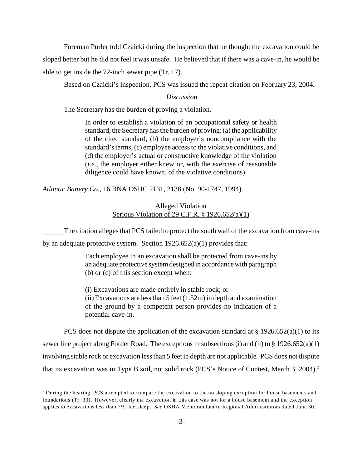Foreman Purler told Czaicki during the inspection that he thought the excavation could be sloped better but he did not feel it was unsafe. He believed that if there was a cave-in, he would be able to get inside the 72-inch sewer pipe (Tr. 17).

Based on Czaicki's inspection, PCS was issued the repeat citation on February 23, 2004.

### *Discussion*

The Secretary has the burden of proving a violation.

In order to establish a violation of an occupational safety or health standard, the Secretary has the burden of proving: (a) the applicability of the cited standard, (b) the employer's noncompliance with the standard's terms, (c) employee access to the violative conditions, and (d) the employer's actual or constructive knowledge of the violation (*i.e.,* the employer either knew or, with the exercise of reasonable diligence could have known, of the violative conditions).

*Atlantic Battery Co.,* 16 BNA OSHC 2131, 2138 (No. 90-1747, 1994).

## Alleged Violation Serious Violation of 29 C.F.R. § 1926.652(a)(1)

The citation alleges that PCS failed to protect the south wall of the excavation from cave-ins

by an adequate protective system. Section 1926.652(a)(1) provides that:

Each employee in an excavation shall be protected from cave-ins by an adequate protective system designed in accordance with paragraph (b) or (c) of this section except when:

(i) Excavations are made entirely in stable rock; or (ii) Excavations are less than  $5$  feet  $(1.52m)$  in depth and examination of the ground by a competent person provides no indication of a potential cave-in.

PCS does not dispute the application of the excavation standard at  $\S 1926.652(a)(1)$  to its sewer line project along Forder Road. The exceptions in subsections (i) and (ii) to § 1926.652(a)(1) involving stable rock or excavation less than 5 feet in depth are not applicable. PCS does not dispute that its excavation was in Type B soil, not solid rock (PCS's Notice of Contest, March 3, 2004).<sup>2</sup>

<sup>&</sup>lt;sup>2</sup> During the hearing, PCS attempted to compare the excavation to the no sloping exception for house basements and foundations (Tr. 33). However, clearly the excavation in this case was not for a house basement and the exception applies to excavations less than 7<sup>1</sup>/<sub>2</sub> feet deep. *See* OSHA Memorandum to Regional Administrators dated June 30,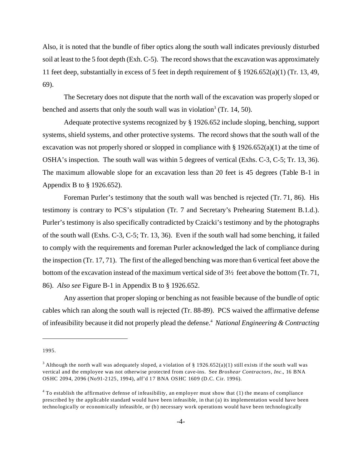Also, it is noted that the bundle of fiber optics along the south wall indicates previously disturbed soil at least to the 5 foot depth (Exh. C-5). The record shows that the excavation was approximately 11 feet deep, substantially in excess of 5 feet in depth requirement of § 1926.652(a)(1) (Tr. 13, 49, 69).

The Secretary does not dispute that the north wall of the excavation was properly sloped or benched and asserts that only the south wall was in violation<sup>3</sup> (Tr. 14, 50).

Adequate protective systems recognized by § 1926.652 include sloping, benching, support systems, shield systems, and other protective systems. The record shows that the south wall of the excavation was not properly shored or slopped in compliance with  $\S 1926.652(a)(1)$  at the time of OSHA's inspection. The south wall was within 5 degrees of vertical (Exhs. C-3, C-5; Tr. 13, 36). The maximum allowable slope for an excavation less than 20 feet is 45 degrees (Table B-1 in Appendix B to § 1926.652).

Foreman Purler's testimony that the south wall was benched is rejected (Tr. 71, 86). His testimony is contrary to PCS's stipulation (Tr. 7 and Secretary's Prehearing Statement B.1.d.). Purler's testimony is also specifically contradicted by Czaicki's testimony and by the photographs of the south wall (Exhs. C-3, C-5; Tr. 13, 36). Even if the south wall had some benching, it failed to comply with the requirements and foreman Purler acknowledged the lack of compliance during the inspection (Tr. 17, 71). The first of the alleged benching was more than 6 vertical feet above the bottom of the excavation instead of the maximum vertical side of 3½ feet above the bottom (Tr. 71, 86). *Also see* Figure B-1 in Appendix B to § 1926.652.

Any assertion that proper sloping or benching as not feasible because of the bundle of optic cables which ran along the south wall is rejected (Tr. 88-89). PCS waived the affirmative defense of infeasibility because it did not properly plead the defense.4 *National Engineering & Contracting* 

<sup>1995.</sup> 

<sup>&</sup>lt;sup>3</sup> Although the north wall was adequately sloped, a violation of § 1926.652(a)(1) still exists if the south wall was vertical and the employee was not otherwise protected from cave-ins. See *Broshear Contractors, Inc.*, 16 BNA OSHC 2094, 2096 (No91-2125, 1994), aff'd 17 BNA OSHC 1609 (D.C. Cir. 1996).

 $4$  To establish the affirmative defense of infeasibility, an employer must show that (1) the means of compliance prescribed by the applicable standard would have been infeasible, in that (a) its implementation would have been technologically or economically infeasible, or (b) necessary work operations would have been technologically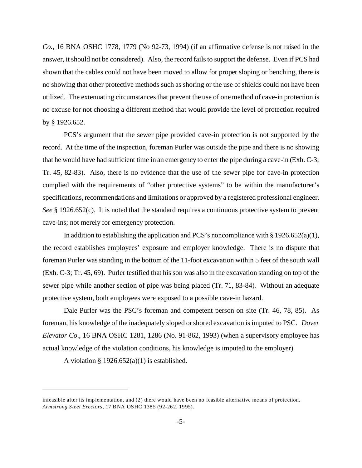*Co.,* 16 BNA OSHC 1778, 1779 (No 92-73, 1994) (if an affirmative defense is not raised in the answer, it should not be considered). Also, the record fails to support the defense. Even if PCS had shown that the cables could not have been moved to allow for proper sloping or benching, there is no showing that other protective methods such as shoring or the use of shields could not have been utilized. The extenuating circumstances that prevent the use of one method of cave-in protection is no excuse for not choosing a different method that would provide the level of protection required by § 1926.652.

PCS's argument that the sewer pipe provided cave-in protection is not supported by the record. At the time of the inspection, foreman Purler was outside the pipe and there is no showing that he would have had sufficient time in an emergency to enter the pipe during a cave-in (Exh. C-3; Tr. 45, 82-83). Also, there is no evidence that the use of the sewer pipe for cave-in protection complied with the requirements of "other protective systems" to be within the manufacturer's specifications, recommendations and limitations or approved by a registered professional engineer. *See* § 1926.652(c). It is noted that the standard requires a continuous protective system to prevent cave-ins; not merely for emergency protection.

In addition to establishing the application and PCS's noncompliance with  $\S 1926.652(a)(1)$ , the record establishes employees' exposure and employer knowledge. There is no dispute that foreman Purler was standing in the bottom of the 11-foot excavation within 5 feet of the south wall (Exh. C-3; Tr. 45, 69). Purler testified that his son was also in the excavation standing on top of the sewer pipe while another section of pipe was being placed (Tr. 71, 83-84). Without an adequate protective system, both employees were exposed to a possible cave-in hazard.

Dale Purler was the PSC's foreman and competent person on site (Tr. 46, 78, 85). As foreman, his knowledge of the inadequately sloped or shored excavation is imputed to PSC. *Dover Elevator Co*., 16 BNA OSHC 1281, 1286 (No. 91-862, 1993) (when a supervisory employee has actual knowledge of the violation conditions, his knowledge is imputed to the employer)

A violation  $\S 1926.652(a)(1)$  is established.

infeasible after its implementation, and  $(2)$  there would have been no feasible alternative means of protection. Armstrong Steel Erectors, 17 BNA OSHC 1385 (92-262, 1995).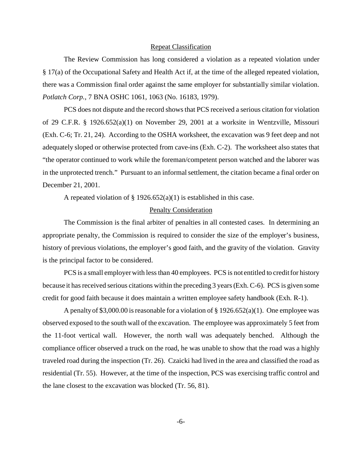#### Repeat Classification

The Review Commission has long considered a violation as a repeated violation under § 17(a) of the Occupational Safety and Health Act if, at the time of the alleged repeated violation, there was a Commission final order against the same employer for substantially similar violation. *Potlatch Corp.*, 7 BNA OSHC 1061, 1063 (No. 16183, 1979).

PCS does not dispute and the record shows that PCS received a serious citation for violation of 29 C.F.R. § 1926.652(a)(1) on November 29, 2001 at a worksite in Wentzville, Missouri (Exh. C-6; Tr. 21, 24). According to the OSHA worksheet, the excavation was 9 feet deep and not adequately sloped or otherwise protected from cave-ins (Exh. C-2). The worksheet also states that "the operator continued to work while the foreman/competent person watched and the laborer was in the unprotected trench." Pursuant to an informal settlement, the citation became a final order on December 21, 2001.

A repeated violation of  $\S 1926.652(a)(1)$  is established in this case.

### Penalty Consideration

The Commission is the final arbiter of penalties in all contested cases. In determining an appropriate penalty, the Commission is required to consider the size of the employer's business, history of previous violations, the employer's good faith, and the gravity of the violation. Gravity is the principal factor to be considered.

PCS is a small employer with less than 40 employees. PCS is not entitled to credit for history because it has received serious citations within the preceding 3 years (Exh. C-6). PCS is given some credit for good faith because it does maintain a written employee safety handbook (Exh. R-1).

A penalty of \$3,000.00 is reasonable for a violation of  $\S 1926.652(a)(1)$ . One employee was observed exposed to the south wall of the excavation. The employee was approximately 5 feet from the 11-foot vertical wall. However, the north wall was adequately benched. Although the compliance officer observed a truck on the road, he was unable to show that the road was a highly traveled road during the inspection (Tr. 26). Czaicki had lived in the area and classified the road as residential (Tr. 55). However, at the time of the inspection, PCS was exercising traffic control and the lane closest to the excavation was blocked (Tr. 56, 81).